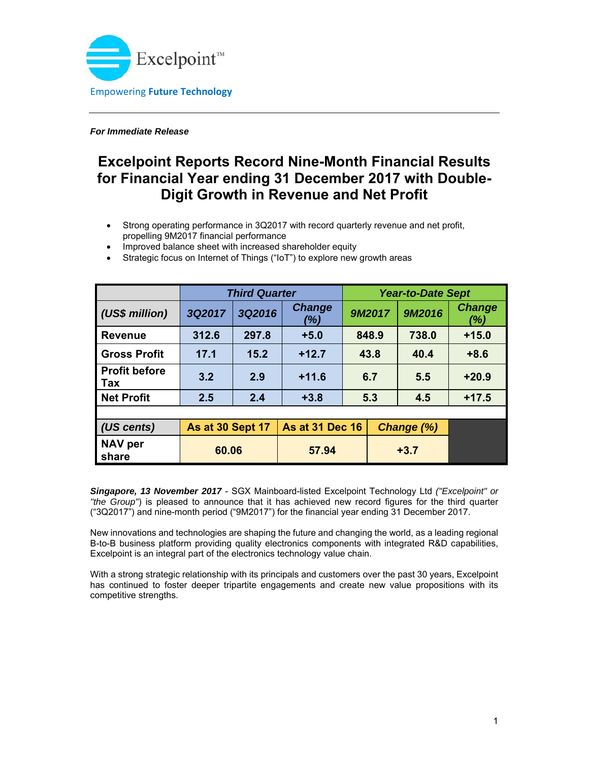

*For Immediate Release* 

# **Excelpoint Reports Record Nine-Month Financial Results for Financial Year ending 31 December 2017 with Double-Digit Growth in Revenue and Net Profit**

- Strong operating performance in 3Q2017 with record quarterly revenue and net profit, propelling 9M2017 financial performance
- Improved balance sheet with increased shareholder equity

|                             | <b>Third Quarter</b>    |        |                        | <b>Year-to-Date Sept</b> |            |        |                      |
|-----------------------------|-------------------------|--------|------------------------|--------------------------|------------|--------|----------------------|
| (US\$ million)              | 3Q2017                  | 3Q2016 | <b>Change</b><br>(%)   |                          | 9M2017     | 9M2016 | <b>Change</b><br>(%) |
| <b>Revenue</b>              | 312.6                   | 297.8  | $+5.0$                 | 848.9                    |            | 738.0  | $+15.0$              |
| <b>Gross Profit</b>         | 17.1                    | 15.2   | $+12.7$                | 43.8                     |            | 40.4   | $+8.6$               |
| <b>Profit before</b><br>Tax | 3.2                     | 2.9    | $+11.6$                | 6.7                      |            | 5.5    | $+20.9$              |
| <b>Net Profit</b>           | 2.5                     | 2.4    | $+3.8$                 | 5.3                      |            | 4.5    | $+17.5$              |
|                             |                         |        |                        |                          |            |        |                      |
| (US cents)                  | <b>As at 30 Sept 17</b> |        | <b>As at 31 Dec 16</b> |                          | Change (%) |        |                      |
| <b>NAV</b> per<br>share     | 60.06                   |        | 57.94                  |                          | $+3.7$     |        |                      |

Strategic focus on Internet of Things ("IoT") to explore new growth areas

*Singapore, 13 November 2017* - SGX Mainboard-listed Excelpoint Technology Ltd *("Excelpoint" or "the Group"*) is pleased to announce that it has achieved new record figures for the third quarter ("3Q2017") and nine-month period ("9M2017") for the financial year ending 31 December 2017.

New innovations and technologies are shaping the future and changing the world, as a leading regional B-to-B business platform providing quality electronics components with integrated R&D capabilities, Excelpoint is an integral part of the electronics technology value chain.

With a strong strategic relationship with its principals and customers over the past 30 years, Excelpoint has continued to foster deeper tripartite engagements and create new value propositions with its competitive strengths.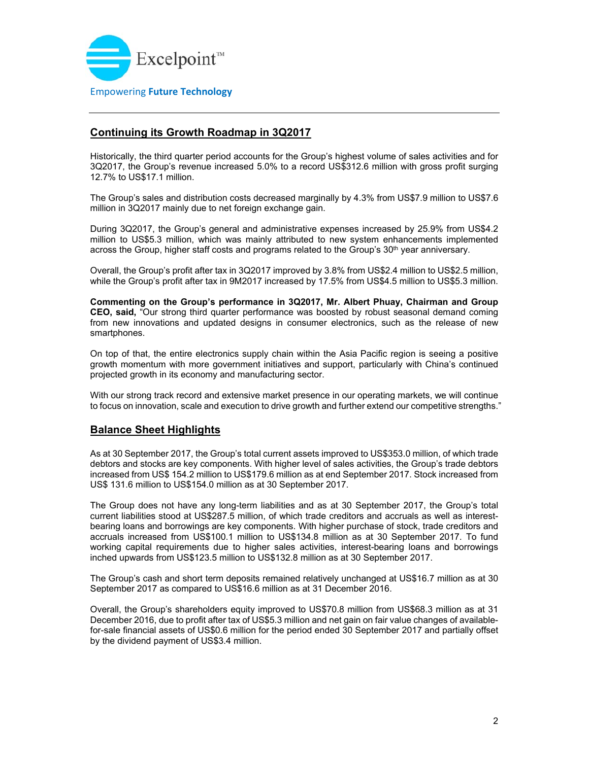

# **Continuing its Growth Roadmap in 3Q2017**

Historically, the third quarter period accounts for the Group's highest volume of sales activities and for 3Q2017, the Group's revenue increased 5.0% to a record US\$312.6 million with gross profit surging 12.7% to US\$17.1 million.

The Group's sales and distribution costs decreased marginally by 4.3% from US\$7.9 million to US\$7.6 million in 3Q2017 mainly due to net foreign exchange gain.

During 3Q2017, the Group's general and administrative expenses increased by 25.9% from US\$4.2 million to US\$5.3 million, which was mainly attributed to new system enhancements implemented across the Group, higher staff costs and programs related to the Group's 30<sup>th</sup> year anniversary.

Overall, the Group's profit after tax in 3Q2017 improved by 3.8% from US\$2.4 million to US\$2.5 million, while the Group's profit after tax in 9M2017 increased by 17.5% from US\$4.5 million to US\$5.3 million.

**Commenting on the Group's performance in 3Q2017, Mr. Albert Phuay, Chairman and Group CEO, said,** "Our strong third quarter performance was boosted by robust seasonal demand coming from new innovations and updated designs in consumer electronics, such as the release of new smartphones.

On top of that, the entire electronics supply chain within the Asia Pacific region is seeing a positive growth momentum with more government initiatives and support, particularly with China's continued projected growth in its economy and manufacturing sector.

With our strong track record and extensive market presence in our operating markets, we will continue to focus on innovation, scale and execution to drive growth and further extend our competitive strengths."

### **Balance Sheet Highlights**

As at 30 September 2017, the Group's total current assets improved to US\$353.0 million, of which trade debtors and stocks are key components. With higher level of sales activities, the Group's trade debtors increased from US\$ 154.2 million to US\$179.6 million as at end September 2017. Stock increased from US\$ 131.6 million to US\$154.0 million as at 30 September 2017.

The Group does not have any long-term liabilities and as at 30 September 2017, the Group's total current liabilities stood at US\$287.5 million, of which trade creditors and accruals as well as interestbearing loans and borrowings are key components. With higher purchase of stock, trade creditors and accruals increased from US\$100.1 million to US\$134.8 million as at 30 September 2017. To fund working capital requirements due to higher sales activities, interest-bearing loans and borrowings inched upwards from US\$123.5 million to US\$132.8 million as at 30 September 2017.

The Group's cash and short term deposits remained relatively unchanged at US\$16.7 million as at 30 September 2017 as compared to US\$16.6 million as at 31 December 2016.

Overall, the Group's shareholders equity improved to US\$70.8 million from US\$68.3 million as at 31 December 2016, due to profit after tax of US\$5.3 million and net gain on fair value changes of availablefor-sale financial assets of US\$0.6 million for the period ended 30 September 2017 and partially offset by the dividend payment of US\$3.4 million.